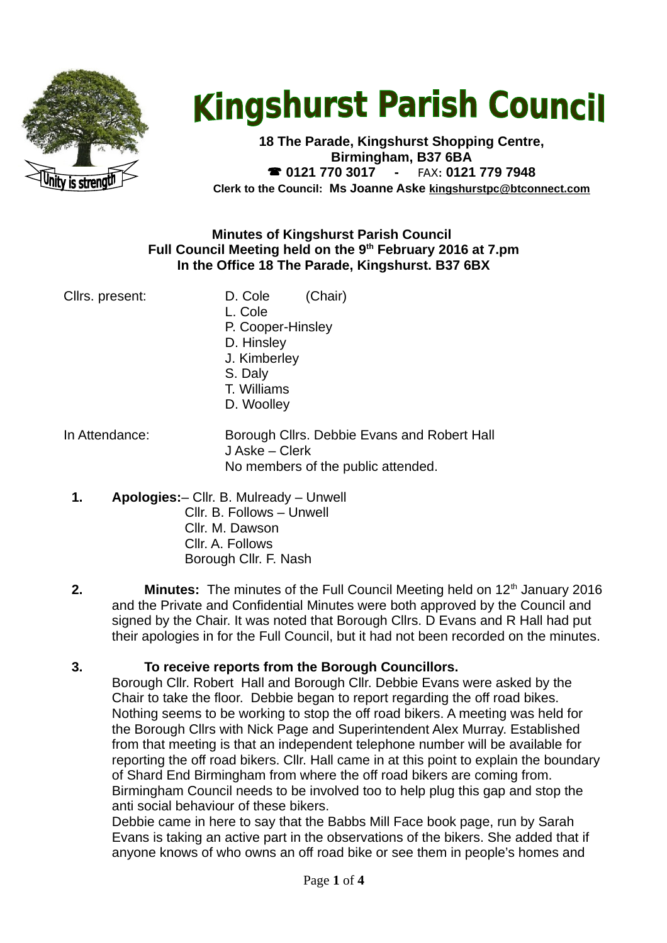

# **Kingshurst Parish Council**

**18 The Parade, Kingshurst Shopping Centre, Birmingham, B37 6BA 0121 770 3017 -** FAX**: 0121 779 7948 Clerk to the Council: Ms Joanne Aske [kingshurstpc@btconnect.com](mailto:kingshurstpc@btconnect.com)**

## **Minutes of Kingshurst Parish Council Full Council Meeting held on the 9th February 2016 at 7.pm In the Office 18 The Parade, Kingshurst. B37 6BX**

Cllrs. present: D. Cole (Chair) L. Cole P. Cooper-Hinsley D. Hinsley J. Kimberley S. Daly T. Williams D. Woolley

In Attendance: Borough Cllrs. Debbie Evans and Robert Hall J Aske – Clerk No members of the public attended.

- **1. Apologies:** Cllr. B. Mulready Unwell Cllr. B. Follows – Unwell Cllr. M. Dawson Cllr. A. Follows Borough Cllr. F. Nash
- **2. Minutes:** The minutes of the Full Council Meeting held on 12<sup>th</sup> January 2016 and the Private and Confidential Minutes were both approved by the Council and signed by the Chair. It was noted that Borough Cllrs. D Evans and R Hall had put their apologies in for the Full Council, but it had not been recorded on the minutes.

**3. To receive reports from the Borough Councillors.** 

Borough Cllr. Robert Hall and Borough Cllr. Debbie Evans were asked by the Chair to take the floor. Debbie began to report regarding the off road bikes. Nothing seems to be working to stop the off road bikers. A meeting was held for the Borough Cllrs with Nick Page and Superintendent Alex Murray. Established from that meeting is that an independent telephone number will be available for reporting the off road bikers. Cllr. Hall came in at this point to explain the boundary of Shard End Birmingham from where the off road bikers are coming from. Birmingham Council needs to be involved too to help plug this gap and stop the anti social behaviour of these bikers.

Debbie came in here to say that the Babbs Mill Face book page, run by Sarah Evans is taking an active part in the observations of the bikers. She added that if anyone knows of who owns an off road bike or see them in people's homes and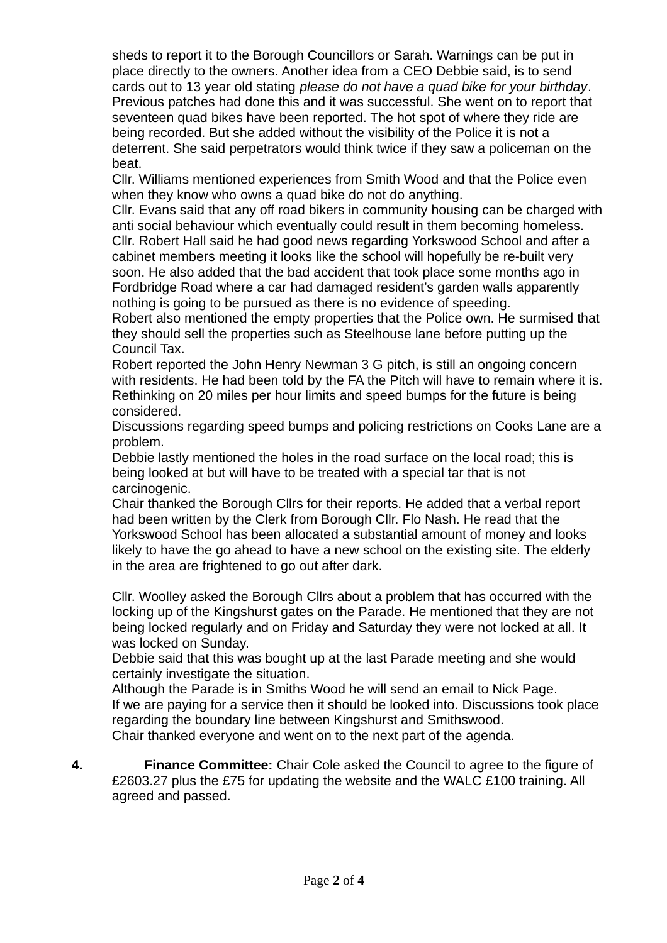sheds to report it to the Borough Councillors or Sarah. Warnings can be put in place directly to the owners. Another idea from a CEO Debbie said, is to send cards out to 13 year old stating *please do not have a quad bike for your birthday*. Previous patches had done this and it was successful. She went on to report that seventeen quad bikes have been reported. The hot spot of where they ride are being recorded. But she added without the visibility of the Police it is not a deterrent. She said perpetrators would think twice if they saw a policeman on the beat.

Cllr. Williams mentioned experiences from Smith Wood and that the Police even when they know who owns a quad bike do not do anything.

Cllr. Evans said that any off road bikers in community housing can be charged with anti social behaviour which eventually could result in them becoming homeless. Cllr. Robert Hall said he had good news regarding Yorkswood School and after a cabinet members meeting it looks like the school will hopefully be re-built very soon. He also added that the bad accident that took place some months ago in Fordbridge Road where a car had damaged resident's garden walls apparently nothing is going to be pursued as there is no evidence of speeding.

Robert also mentioned the empty properties that the Police own. He surmised that they should sell the properties such as Steelhouse lane before putting up the Council Tax.

Robert reported the John Henry Newman 3 G pitch, is still an ongoing concern with residents. He had been told by the FA the Pitch will have to remain where it is. Rethinking on 20 miles per hour limits and speed bumps for the future is being considered.

Discussions regarding speed bumps and policing restrictions on Cooks Lane are a problem.

Debbie lastly mentioned the holes in the road surface on the local road; this is being looked at but will have to be treated with a special tar that is not carcinogenic.

Chair thanked the Borough Cllrs for their reports. He added that a verbal report had been written by the Clerk from Borough Cllr. Flo Nash. He read that the Yorkswood School has been allocated a substantial amount of money and looks likely to have the go ahead to have a new school on the existing site. The elderly in the area are frightened to go out after dark.

Cllr. Woolley asked the Borough Cllrs about a problem that has occurred with the locking up of the Kingshurst gates on the Parade. He mentioned that they are not being locked regularly and on Friday and Saturday they were not locked at all. It was locked on Sunday.

Debbie said that this was bought up at the last Parade meeting and she would certainly investigate the situation.

Although the Parade is in Smiths Wood he will send an email to Nick Page. If we are paying for a service then it should be looked into. Discussions took place regarding the boundary line between Kingshurst and Smithswood. Chair thanked everyone and went on to the next part of the agenda.

**4. Finance Committee:** Chair Cole asked the Council to agree to the figure of £2603.27 plus the £75 for updating the website and the WALC £100 training. All agreed and passed.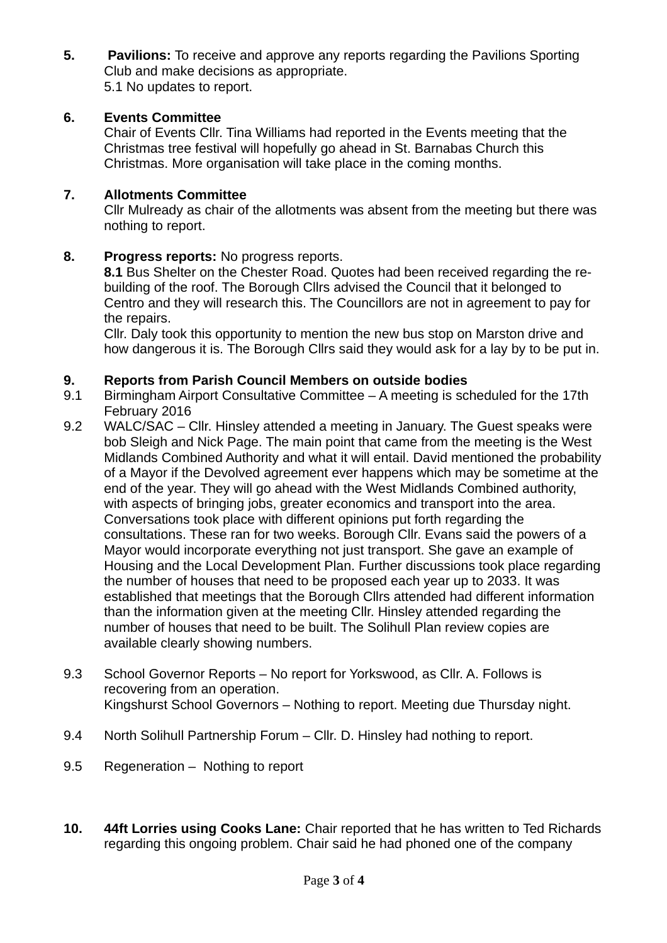**5. Pavilions:** To receive and approve any reports regarding the Pavilions Sporting Club and make decisions as appropriate. 5.1 No updates to report.

# **6. Events Committee**

Chair of Events Cllr. Tina Williams had reported in the Events meeting that the Christmas tree festival will hopefully go ahead in St. Barnabas Church this Christmas. More organisation will take place in the coming months.

## **7. Allotments Committee**

Cllr Mulready as chair of the allotments was absent from the meeting but there was nothing to report.

## **8. Progress reports:** No progress reports.

**8.1** Bus Shelter on the Chester Road. Ouotes had been received regarding the rebuilding of the roof. The Borough Cllrs advised the Council that it belonged to Centro and they will research this. The Councillors are not in agreement to pay for the repairs.

Cllr. Daly took this opportunity to mention the new bus stop on Marston drive and how dangerous it is. The Borough Cllrs said they would ask for a lay by to be put in.

#### **9. Reports from Parish Council Members on outside bodies**

- 9.1 Birmingham Airport Consultative Committee A meeting is scheduled for the 17th February 2016
- 9.2 WALC/SAC Cllr. Hinsley attended a meeting in January. The Guest speaks were bob Sleigh and Nick Page. The main point that came from the meeting is the West Midlands Combined Authority and what it will entail. David mentioned the probability of a Mayor if the Devolved agreement ever happens which may be sometime at the end of the year. They will go ahead with the West Midlands Combined authority, with aspects of bringing jobs, greater economics and transport into the area. Conversations took place with different opinions put forth regarding the consultations. These ran for two weeks. Borough Cllr. Evans said the powers of a Mayor would incorporate everything not just transport. She gave an example of Housing and the Local Development Plan. Further discussions took place regarding the number of houses that need to be proposed each year up to 2033. It was established that meetings that the Borough Cllrs attended had different information than the information given at the meeting Cllr. Hinsley attended regarding the number of houses that need to be built. The Solihull Plan review copies are available clearly showing numbers.
- 9.3 School Governor Reports No report for Yorkswood, as Cllr. A. Follows is recovering from an operation. Kingshurst School Governors – Nothing to report. Meeting due Thursday night.
- 9.4 North Solihull Partnership Forum Cllr. D. Hinsley had nothing to report.
- 9.5 Regeneration Nothing to report
- **10. 44ft Lorries using Cooks Lane:** Chair reported that he has written to Ted Richards regarding this ongoing problem. Chair said he had phoned one of the company